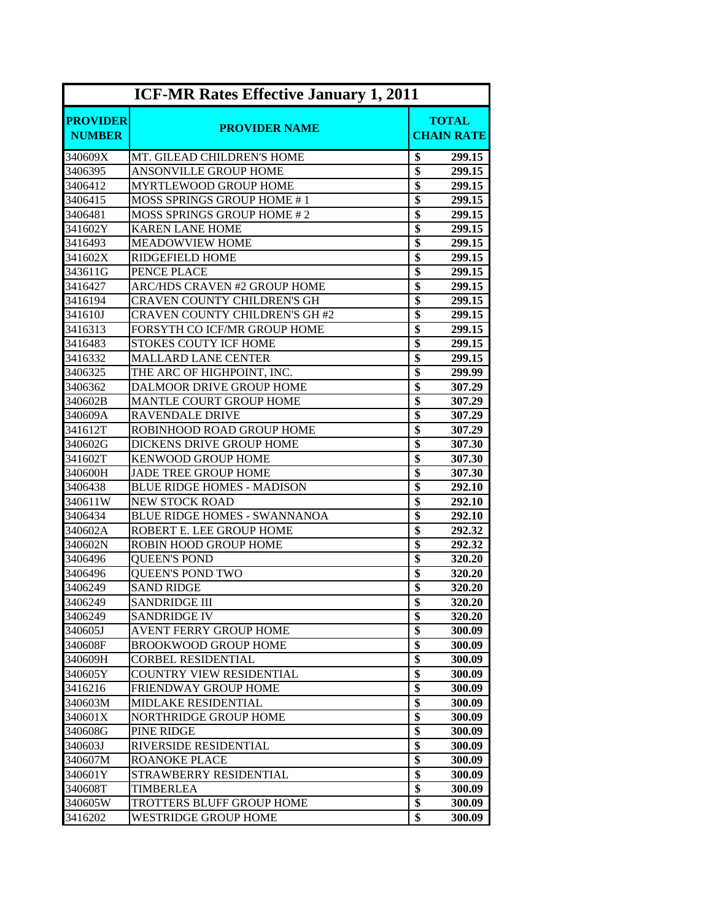| <b>ICF-MR Rates Effective January 1, 2011</b> |                                       |                                   |  |
|-----------------------------------------------|---------------------------------------|-----------------------------------|--|
| <b>PROVIDER</b><br><b>NUMBER</b>              | <b>PROVIDER NAME</b>                  | <b>TOTAL</b><br><b>CHAIN RATE</b> |  |
| 340609X                                       | MT. GILEAD CHILDREN'S HOME            | \$<br>299.15                      |  |
| 3406395                                       | ANSONVILLE GROUP HOME                 | \$<br>299.15                      |  |
| 3406412                                       | <b>MYRTLEWOOD GROUP HOME</b>          | $\overline{\$}$<br>299.15         |  |
| 3406415                                       | MOSS SPRINGS GROUP HOME #1            | \$<br>299.15                      |  |
| 3406481                                       | <b>MOSS SPRINGS GROUP HOME #2</b>     | \$<br>299.15                      |  |
| 341602Y                                       | <b>KAREN LANE HOME</b>                | \$<br>299.15                      |  |
| 3416493                                       | <b>MEADOWVIEW HOME</b>                | \$<br>299.15                      |  |
| 341602X                                       | <b>RIDGEFIELD HOME</b>                | \$<br>299.15                      |  |
| 343611G                                       | PENCE PLACE                           | \$<br>299.15                      |  |
| 3416427                                       | ARC/HDS CRAVEN #2 GROUP HOME          | \$<br>299.15                      |  |
| 3416194                                       | <b>CRAVEN COUNTY CHILDREN'S GH</b>    | $\overline{\$}$<br>299.15         |  |
| 341610J                                       | <b>CRAVEN COUNTY CHILDREN'S GH #2</b> | \$<br>299.15                      |  |
| 3416313                                       | FORSYTH CO ICF/MR GROUP HOME          | \$<br>299.15                      |  |
| 3416483                                       | <b>STOKES COUTY ICF HOME</b>          | \$<br>299.15                      |  |
| 3416332                                       | <b>MALLARD LANE CENTER</b>            | \$<br>299.15                      |  |
| 3406325                                       | THE ARC OF HIGHPOINT, INC.            | \$<br>299.99                      |  |
| 3406362                                       | <b>DALMOOR DRIVE GROUP HOME</b>       | \$<br>307.29                      |  |
| 340602B                                       | <b>MANTLE COURT GROUP HOME</b>        | \$<br>307.29                      |  |
| 340609A                                       | <b>RAVENDALE DRIVE</b>                | \$<br>307.29                      |  |
| 341612T                                       | ROBINHOOD ROAD GROUP HOME             | \$<br>307.29                      |  |
| 340602G                                       | DICKENS DRIVE GROUP HOME              | \$<br>307.30                      |  |
| 341602T                                       | <b>KENWOOD GROUP HOME</b>             | \$<br>307.30                      |  |
| 340600H                                       | <b>JADE TREE GROUP HOME</b>           | \$<br>307.30                      |  |
| 3406438                                       | <b>BLUE RIDGE HOMES - MADISON</b>     | \$<br>292.10                      |  |
| 340611W                                       | <b>NEW STOCK ROAD</b>                 | \$<br>292.10                      |  |
| 3406434                                       | <b>BLUE RIDGE HOMES - SWANNANOA</b>   | \$<br>292.10                      |  |
| 340602A                                       | ROBERT E. LEE GROUP HOME              | $\overline{\$}$<br>292.32         |  |
| 340602N                                       | ROBIN HOOD GROUP HOME                 | \$<br>292.32                      |  |
| 3406496                                       | <b>QUEEN'S POND</b>                   | \$<br>320.20                      |  |
| 3406496                                       | <b>QUEEN'S POND TWO</b>               | \$<br>320.20                      |  |
| 3406249                                       | <b>SAND RIDGE</b>                     | \$<br>320.20                      |  |
| 3406249                                       | SANDRIDGE III                         | \$<br>320.20                      |  |
| 3406249                                       | <b>SANDRIDGE IV</b>                   | \$<br>320.20                      |  |
| 340605J                                       | AVENT FERRY GROUP HOME                | \$<br>300.09                      |  |
| 340608F                                       | <b>BROOKWOOD GROUP HOME</b>           | \$<br>300.09                      |  |
| 340609H                                       | <b>CORBEL RESIDENTIAL</b>             | \$<br>300.09                      |  |
| 340605Y                                       | <b>COUNTRY VIEW RESIDENTIAL</b>       | \$<br>300.09                      |  |
| 3416216                                       | FRIENDWAY GROUP HOME                  | \$<br>300.09                      |  |
| 340603M                                       | MIDLAKE RESIDENTIAL                   | \$<br>300.09                      |  |
| 340601X                                       | NORTHRIDGE GROUP HOME                 | \$<br>300.09                      |  |
| 340608G                                       | PINE RIDGE                            | \$<br>300.09                      |  |
| 340603J                                       | RIVERSIDE RESIDENTIAL                 | \$<br>300.09                      |  |
| 340607M                                       | <b>ROANOKE PLACE</b>                  | \$<br>300.09                      |  |
| 340601Y                                       | STRAWBERRY RESIDENTIAL                | \$<br>300.09                      |  |
| 340608T                                       | <b>TIMBERLEA</b>                      | \$<br>300.09                      |  |
| 340605W                                       | TROTTERS BLUFF GROUP HOME             | \$<br>300.09                      |  |
| 3416202                                       | <b>WESTRIDGE GROUP HOME</b>           | \$<br>300.09                      |  |
|                                               |                                       |                                   |  |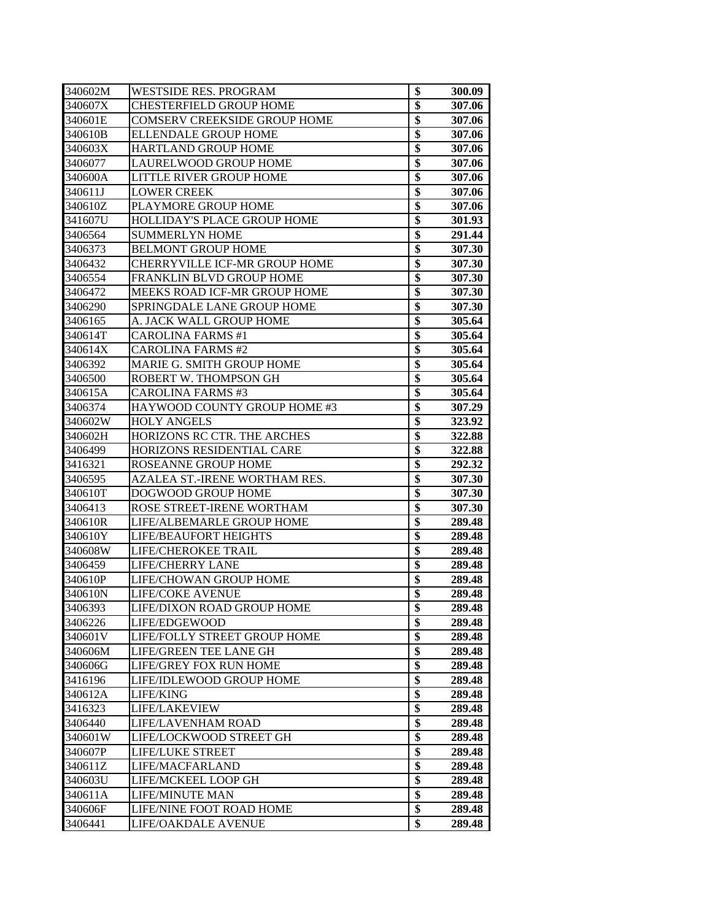| 340602M | <b>WESTSIDE RES. PROGRAM</b>         | \$              | 300.09 |
|---------|--------------------------------------|-----------------|--------|
| 340607X | <b>CHESTERFIELD GROUP HOME</b>       | \$              | 307.06 |
| 340601E | COMSERV CREEKSIDE GROUP HOME         | \$              | 307.06 |
| 340610B | <b>ELLENDALE GROUP HOME</b>          | \$              | 307.06 |
| 340603X | <b>HARTLAND GROUP HOME</b>           | \$              | 307.06 |
| 3406077 | LAURELWOOD GROUP HOME                | \$              | 307.06 |
| 340600A | LITTLE RIVER GROUP HOME              | \$              | 307.06 |
| 340611J | <b>LOWER CREEK</b>                   | \$              | 307.06 |
| 340610Z | PLAYMORE GROUP HOME                  | \$              | 307.06 |
| 341607U | HOLLIDAY'S PLACE GROUP HOME          | $\overline{\$}$ | 301.93 |
| 3406564 | <b>SUMMERLYN HOME</b>                | $\overline{\$}$ | 291.44 |
| 3406373 | <b>BELMONT GROUP HOME</b>            | $\overline{\$}$ | 307.30 |
| 3406432 | <b>CHERRYVILLE ICF-MR GROUP HOME</b> | \$              | 307.30 |
| 3406554 | FRANKLIN BLVD GROUP HOME             | \$              | 307.30 |
| 3406472 | MEEKS ROAD ICF-MR GROUP HOME         | \$              | 307.30 |
| 3406290 | <b>SPRINGDALE LANE GROUP HOME</b>    | \$              | 307.30 |
| 3406165 | A. JACK WALL GROUP HOME              | \$              | 305.64 |
| 340614T | <b>CAROLINA FARMS #1</b>             | \$              | 305.64 |
| 340614X | <b>CAROLINA FARMS #2</b>             | \$              | 305.64 |
| 3406392 | MARIE G. SMITH GROUP HOME            | \$              | 305.64 |
| 3406500 | ROBERT W. THOMPSON GH                | \$              | 305.64 |
| 340615A | <b>CAROLINA FARMS #3</b>             | \$              | 305.64 |
| 3406374 | HAYWOOD COUNTY GROUP HOME #3         | \$              | 307.29 |
| 340602W | <b>HOLY ANGELS</b>                   | \$              | 323.92 |
| 340602H | HORIZONS RC CTR. THE ARCHES          | \$              | 322.88 |
| 3406499 | HORIZONS RESIDENTIAL CARE            | \$              | 322.88 |
| 3416321 | ROSEANNE GROUP HOME                  | \$              | 292.32 |
| 3406595 | AZALEA ST.-IRENE WORTHAM RES.        | \$              | 307.30 |
| 340610T | DOGWOOD GROUP HOME                   | $\overline{\$}$ | 307.30 |
| 3406413 | ROSE STREET-IRENE WORTHAM            | \$              | 307.30 |
| 340610R | LIFE/ALBEMARLE GROUP HOME            | $\overline{\$}$ | 289.48 |
| 340610Y | <b>LIFE/BEAUFORT HEIGHTS</b>         | \$              | 289.48 |
| 340608W | LIFE/CHEROKEE TRAIL                  | \$              | 289.48 |
| 3406459 | <b>LIFE/CHERRY LANE</b>              | \$              | 289.48 |
| 340610P | LIFE/CHOWAN GROUP HOME               | \$              | 289.48 |
| 340610N | <b>LIFE/COKE AVENUE</b>              | \$              | 289.48 |
| 3406393 | LIFE/DIXON ROAD GROUP HOME           | \$              | 289.48 |
| 3406226 | LIFE/EDGEWOOD                        | \$              | 289.48 |
| 340601V | LIFE/FOLLY STREET GROUP HOME         | \$              | 289.48 |
| 340606M | LIFE/GREEN TEE LANE GH               | $\overline{\$}$ | 289.48 |
| 340606G | <b>LIFE/GREY FOX RUN HOME</b>        | \$              | 289.48 |
| 3416196 | LIFE/IDLEWOOD GROUP HOME             | $\overline{\$}$ | 289.48 |
| 340612A | LIFE/KING                            | \$              | 289.48 |
| 3416323 | LIFE/LAKEVIEW                        | \$              | 289.48 |
| 3406440 | LIFE/LAVENHAM ROAD                   | $\overline{\$}$ | 289.48 |
| 340601W | LIFE/LOCKWOOD STREET GH              | $\overline{\$}$ | 289.48 |
| 340607P | <b>LIFE/LUKE STREET</b>              | $\overline{\$}$ | 289.48 |
| 340611Z | LIFE/MACFARLAND                      | \$              | 289.48 |
| 340603U | LIFE/MCKEEL LOOP GH                  | \$              | 289.48 |
| 340611A | LIFE/MINUTE MAN                      | \$              | 289.48 |
| 340606F | LIFE/NINE FOOT ROAD HOME             | \$              | 289.48 |
| 3406441 | LIFE/OAKDALE AVENUE                  | \$              | 289.48 |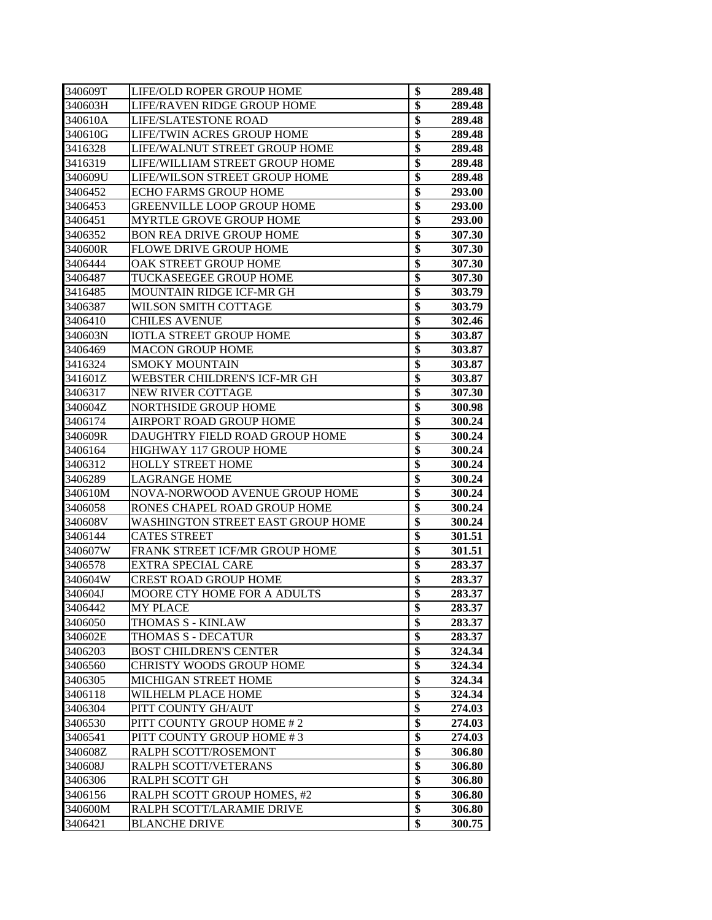| 340609T | LIFE/OLD ROPER GROUP HOME                | \$              | 289.48 |
|---------|------------------------------------------|-----------------|--------|
| 340603H | LIFE/RAVEN RIDGE GROUP HOME              | \$              | 289.48 |
| 340610A | <b>LIFE/SLATESTONE ROAD</b>              | \$              | 289.48 |
| 340610G | LIFE/TWIN ACRES GROUP HOME               | \$              | 289.48 |
| 3416328 | LIFE/WALNUT STREET GROUP HOME            | \$              | 289.48 |
| 3416319 | LIFE/WILLIAM STREET GROUP HOME           | \$              | 289.48 |
| 340609U | LIFE/WILSON STREET GROUP HOME            | $\overline{\$}$ | 289.48 |
| 3406452 | <b>ECHO FARMS GROUP HOME</b>             | $\overline{\$}$ | 293.00 |
| 3406453 | <b>GREENVILLE LOOP GROUP HOME</b>        | $\overline{\$}$ | 293.00 |
| 3406451 | <b>MYRTLE GROVE GROUP HOME</b>           | \$              | 293.00 |
| 3406352 | <b>BON REA DRIVE GROUP HOME</b>          | $\overline{\$}$ | 307.30 |
| 340600R | <b>FLOWE DRIVE GROUP HOME</b>            | \$              | 307.30 |
| 3406444 | OAK STREET GROUP HOME                    | \$              | 307.30 |
| 3406487 | <b>TUCKASEEGEE GROUP HOME</b>            | \$              | 307.30 |
| 3416485 | <b>MOUNTAIN RIDGE ICF-MR GH</b>          | $\overline{\$}$ | 303.79 |
| 3406387 | WILSON SMITH COTTAGE                     | $\overline{\$}$ | 303.79 |
| 3406410 | <b>CHILES AVENUE</b>                     | $\overline{\$}$ | 302.46 |
| 340603N | <b>IOTLA STREET GROUP HOME</b>           | \$              | 303.87 |
| 3406469 | <b>MACON GROUP HOME</b>                  | \$              | 303.87 |
| 3416324 | <b>SMOKY MOUNTAIN</b>                    | \$              | 303.87 |
| 341601Z | WEBSTER CHILDREN'S ICF-MR GH             | \$              | 303.87 |
| 3406317 | NEW RIVER COTTAGE                        | \$              | 307.30 |
| 340604Z | <b>NORTHSIDE GROUP HOME</b>              | \$              | 300.98 |
| 3406174 | AIRPORT ROAD GROUP HOME                  | $\overline{\$}$ | 300.24 |
| 340609R | DAUGHTRY FIELD ROAD GROUP HOME           | $\overline{\$}$ | 300.24 |
| 3406164 | HIGHWAY 117 GROUP HOME                   | \$              | 300.24 |
| 3406312 | <b>HOLLY STREET HOME</b>                 | $\overline{\$}$ | 300.24 |
| 3406289 | <b>LAGRANGE HOME</b>                     | \$              | 300.24 |
| 340610M | NOVA-NORWOOD AVENUE GROUP HOME           | \$              | 300.24 |
| 3406058 | RONES CHAPEL ROAD GROUP HOME             | \$              | 300.24 |
| 340608V | <b>WASHINGTON STREET EAST GROUP HOME</b> | \$              | 300.24 |
| 3406144 | <b>CATES STREET</b>                      | $\overline{\$}$ | 301.51 |
| 340607W | FRANK STREET ICF/MR GROUP HOME           | $\overline{\$}$ | 301.51 |
| 3406578 | EXTRA SPECIAL CARE                       | $\overline{\$}$ | 283.37 |
| 340604W | <b>CREST ROAD GROUP HOME</b>             | \$              | 283.37 |
| 340604J | MOORE CTY HOME FOR A ADULTS              | \$              | 283.37 |
| 3406442 | MY PLACE                                 | φ               | 283.37 |
| 3406050 | THOMAS S - KINLAW                        | \$              | 283.37 |
| 340602E | THOMAS S - DECATUR                       | \$              | 283.37 |
| 3406203 | <b>BOST CHILDREN'S CENTER</b>            | $\overline{\$}$ | 324.34 |
| 3406560 | CHRISTY WOODS GROUP HOME                 | $\overline{\$}$ | 324.34 |
| 3406305 | MICHIGAN STREET HOME                     | $\overline{\$}$ | 324.34 |
| 3406118 | WILHELM PLACE HOME                       | \$              | 324.34 |
| 3406304 | PITT COUNTY GH/AUT                       | $\overline{\$}$ | 274.03 |
| 3406530 | PITT COUNTY GROUP HOME #2                | $\overline{\$}$ | 274.03 |
| 3406541 | PITT COUNTY GROUP HOME #3                | $\overline{\$}$ | 274.03 |
| 340608Z | RALPH SCOTT/ROSEMONT                     | \$              | 306.80 |
| 340608J | RALPH SCOTT/VETERANS                     | $\overline{\$}$ | 306.80 |
| 3406306 | RALPH SCOTT GH                           | $\overline{\$}$ | 306.80 |
| 3406156 | RALPH SCOTT GROUP HOMES, #2              | $\overline{\$}$ | 306.80 |
| 340600M | RALPH SCOTT/LARAMIE DRIVE                | \$              | 306.80 |
| 3406421 | <b>BLANCHE DRIVE</b>                     | \$              | 300.75 |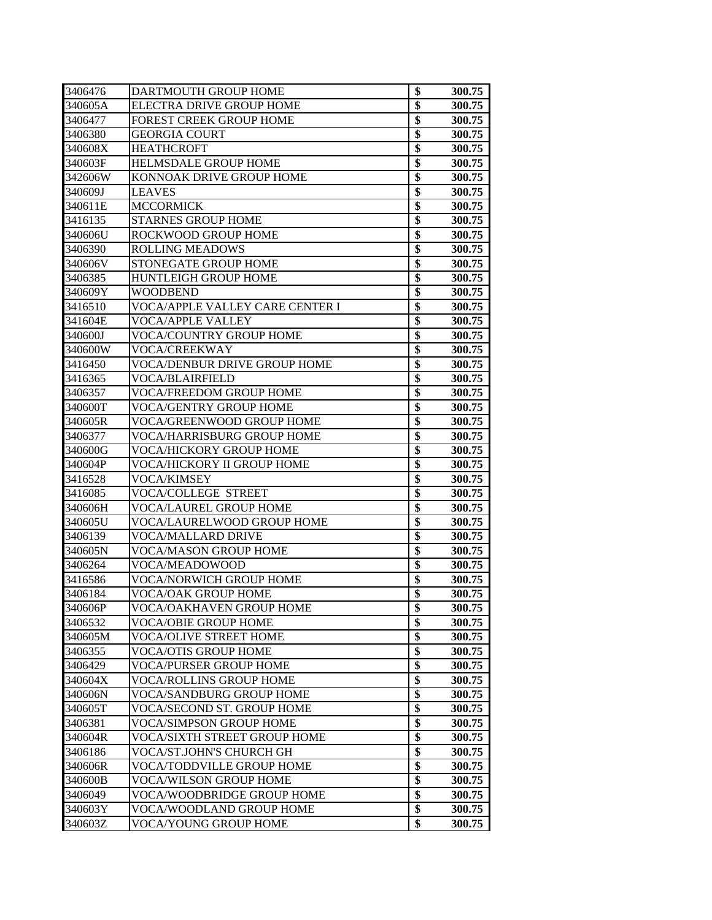| 3406476 | DARTMOUTH GROUP HOME              | \$              | 300.75 |
|---------|-----------------------------------|-----------------|--------|
| 340605A | ELECTRA DRIVE GROUP HOME          | $\overline{\$}$ | 300.75 |
| 3406477 | <b>FOREST CREEK GROUP HOME</b>    | $\overline{\$}$ | 300.75 |
| 3406380 | <b>GEORGIA COURT</b>              | \$              | 300.75 |
| 340608X | <b>HEATHCROFT</b>                 | \$              | 300.75 |
| 340603F | <b>HELMSDALE GROUP HOME</b>       | \$              | 300.75 |
| 342606W | KONNOAK DRIVE GROUP HOME          | \$              | 300.75 |
| 340609J | <b>LEAVES</b>                     | \$              | 300.75 |
| 340611E | <b>MCCORMICK</b>                  | $\overline{\$}$ | 300.75 |
| 3416135 | <b>STARNES GROUP HOME</b>         | \$              | 300.75 |
| 340606U | ROCKWOOD GROUP HOME               | \$              | 300.75 |
| 3406390 | <b>ROLLING MEADOWS</b>            | $\overline{\$}$ | 300.75 |
| 340606V | STONEGATE GROUP HOME              | $\overline{\$}$ | 300.75 |
| 3406385 | <b>HUNTLEIGH GROUP HOME</b>       | $\overline{\$}$ | 300.75 |
| 340609Y | WOODBEND                          | $\overline{\$}$ | 300.75 |
| 3416510 | VOCA/APPLE VALLEY CARE CENTER I   | $\overline{\$}$ | 300.75 |
| 341604E | VOCA/APPLE VALLEY                 | $\overline{\$}$ | 300.75 |
| 340600J | <b>VOCA/COUNTRY GROUP HOME</b>    | $\overline{\$}$ | 300.75 |
| 340600W | <b>VOCA/CREEKWAY</b>              | $\overline{\$}$ | 300.75 |
| 3416450 | VOCA/DENBUR DRIVE GROUP HOME      | \$              | 300.75 |
| 3416365 | VOCA/BLAIRFIELD                   | \$              | 300.75 |
| 3406357 | VOCA/FREEDOM GROUP HOME           | \$              | 300.75 |
| 340600T | VOCA/GENTRY GROUP HOME            | \$              | 300.75 |
| 340605R | VOCA/GREENWOOD GROUP HOME         | \$              | 300.75 |
| 3406377 | VOCA/HARRISBURG GROUP HOME        | \$              | 300.75 |
| 340600G | <b>VOCA/HICKORY GROUP HOME</b>    | $\overline{\$}$ | 300.75 |
| 340604P | <b>VOCA/HICKORY II GROUP HOME</b> | $\overline{\$}$ | 300.75 |
| 3416528 | <b>VOCA/KIMSEY</b>                | $\overline{\$}$ | 300.75 |
| 3416085 | VOCA/COLLEGE STREET               | \$              | 300.75 |
| 340606H | <b>VOCA/LAUREL GROUP HOME</b>     | \$              | 300.75 |
| 340605U | VOCA/LAURELWOOD GROUP HOME        | \$              | 300.75 |
| 3406139 | <b>VOCA/MALLARD DRIVE</b>         | \$              | 300.75 |
| 340605N | VOCA/MASON GROUP HOME             | \$              | 300.75 |
| 3406264 | VOCA/MEADOWOOD                    | \$              | 300.75 |
| 3416586 | VOCA/NORWICH GROUP HOME           | $\overline{\$}$ | 300.75 |
| 3406184 | VOCA/OAK GROUP HOME               | \$              | 300.75 |
| 340606P | VOCA/OAKHAVEN GROUP HOME          | \$              | 300.75 |
| 3406532 | VOCA/OBIE GROUP HOME              | \$              | 300.75 |
| 340605M | VOCA/OLIVE STREET HOME            | \$              | 300.75 |
| 3406355 | VOCA/OTIS GROUP HOME              | \$              | 300.75 |
| 3406429 | VOCA/PURSER GROUP HOME            | \$              | 300.75 |
| 340604X | VOCA/ROLLINS GROUP HOME           | \$              | 300.75 |
| 340606N | VOCA/SANDBURG GROUP HOME          | $\overline{\$}$ | 300.75 |
| 340605T | VOCA/SECOND ST. GROUP HOME        | $\overline{\$}$ | 300.75 |
| 3406381 | VOCA/SIMPSON GROUP HOME           | \$              | 300.75 |
| 340604R | VOCA/SIXTH STREET GROUP HOME      | \$              | 300.75 |
| 3406186 | VOCA/ST.JOHN'S CHURCH GH          | \$              | 300.75 |
| 340606R | VOCA/TODDVILLE GROUP HOME         | $\overline{\$}$ | 300.75 |
| 340600B | VOCA/WILSON GROUP HOME            | \$              | 300.75 |
| 3406049 | VOCA/WOODBRIDGE GROUP HOME        | \$              | 300.75 |
| 340603Y | VOCA/WOODLAND GROUP HOME          | \$              | 300.75 |
| 340603Z | VOCA/YOUNG GROUP HOME             | $\overline{\$}$ | 300.75 |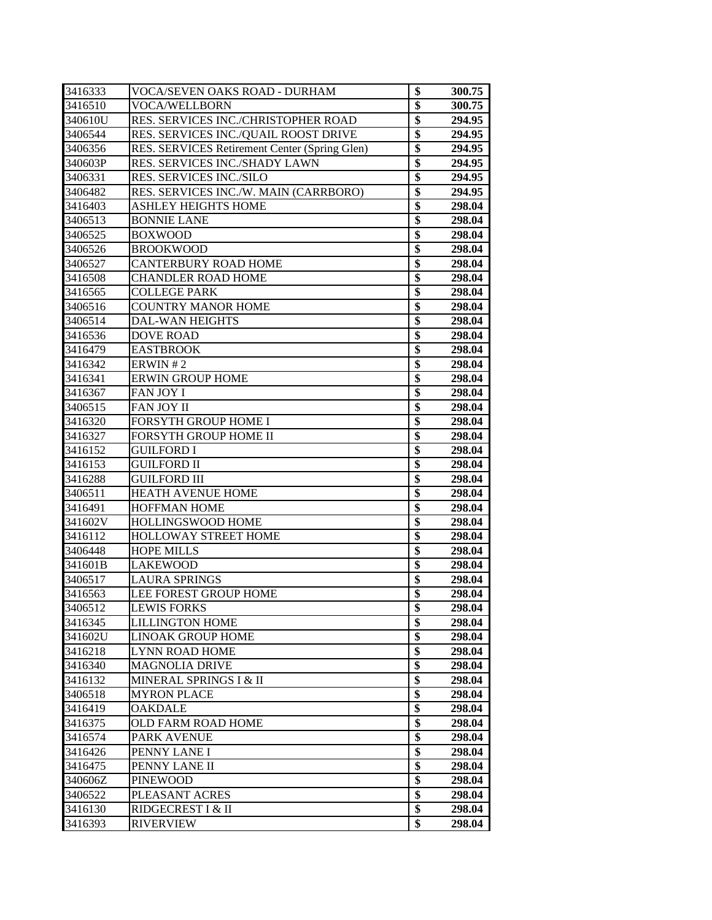| 3416333 | VOCA/SEVEN OAKS ROAD - DURHAM                 | \$              | 300.75 |
|---------|-----------------------------------------------|-----------------|--------|
| 3416510 | VOCA/WELLBORN                                 | $\overline{\$}$ | 300.75 |
| 340610U | RES. SERVICES INC./CHRISTOPHER ROAD           | \$              | 294.95 |
| 3406544 | RES. SERVICES INC./QUAIL ROOST DRIVE          | \$              | 294.95 |
| 3406356 | RES. SERVICES Retirement Center (Spring Glen) | \$              | 294.95 |
| 340603P | RES. SERVICES INC./SHADY LAWN                 | \$              | 294.95 |
| 3406331 | RES. SERVICES INC./SILO                       | \$              | 294.95 |
| 3406482 | RES. SERVICES INC./W. MAIN (CARRBORO)         | \$              | 294.95 |
| 3416403 | <b>ASHLEY HEIGHTS HOME</b>                    | $\overline{\$}$ | 298.04 |
| 3406513 | <b>BONNIE LANE</b>                            | $\overline{\$}$ | 298.04 |
| 3406525 | <b>BOXWOOD</b>                                | $\overline{\$}$ | 298.04 |
| 3406526 | <b>BROOKWOOD</b>                              | \$              | 298.04 |
| 3406527 | <b>CANTERBURY ROAD HOME</b>                   | \$              | 298.04 |
| 3416508 | <b>CHANDLER ROAD HOME</b>                     | \$              | 298.04 |
| 3416565 | <b>COLLEGE PARK</b>                           | \$              | 298.04 |
| 3406516 | <b>COUNTRY MANOR HOME</b>                     | \$              | 298.04 |
| 3406514 | <b>DAL-WAN HEIGHTS</b>                        | \$              | 298.04 |
| 3416536 | <b>DOVE ROAD</b>                              | \$              | 298.04 |
| 3416479 | <b>EASTBROOK</b>                              | \$              | 298.04 |
| 3416342 | ERWIN#2                                       | \$              | 298.04 |
| 3416341 | <b>ERWIN GROUP HOME</b>                       | \$              | 298.04 |
| 3416367 | FAN JOY I                                     | \$              | 298.04 |
| 3406515 | FAN JOY II                                    | $\overline{\$}$ | 298.04 |
| 3416320 | FORSYTH GROUP HOME I                          | \$              | 298.04 |
| 3416327 | FORSYTH GROUP HOME II                         | \$              | 298.04 |
| 3416152 | <b>GUILFORD I</b>                             | \$              | 298.04 |
| 3416153 | <b>GUILFORD II</b>                            | \$              | 298.04 |
| 3416288 | <b>GUILFORD III</b>                           | $\overline{\$}$ | 298.04 |
| 3406511 | <b>HEATH AVENUE HOME</b>                      | $\overline{\$}$ | 298.04 |
| 3416491 | <b>HOFFMAN HOME</b>                           | \$              | 298.04 |
| 341602V | HOLLINGSWOOD HOME                             | \$              | 298.04 |
| 3416112 | <b>HOLLOWAY STREET HOME</b>                   | $\overline{\$}$ | 298.04 |
| 3406448 | <b>HOPE MILLS</b>                             | \$              | 298.04 |
| 341601B | LAKEWOOD                                      | \$              | 298.04 |
| 3406517 | <b>LAURA SPRINGS</b>                          | $\overline{\$}$ | 298.04 |
| 3416563 | LEE FOREST GROUP HOME                         | $\overline{\$}$ | 298.04 |
| 3406512 | <b>LEWIS FORKS</b>                            | \$              | 298.04 |
| 3416345 | <b>LILLINGTON HOME</b>                        | $\overline{\$}$ | 298.04 |
| 341602U | <b>LINOAK GROUP HOME</b>                      | \$              | 298.04 |
| 3416218 | <b>LYNN ROAD HOME</b>                         | $\overline{\$}$ | 298.04 |
| 3416340 | <b>MAGNOLIA DRIVE</b>                         | \$              | 298.04 |
| 3416132 | MINERAL SPRINGS I & II                        | \$              | 298.04 |
| 3406518 | <b>MYRON PLACE</b>                            | $\overline{\$}$ | 298.04 |
| 3416419 | <b>OAKDALE</b>                                | $\overline{\$}$ | 298.04 |
| 3416375 | OLD FARM ROAD HOME                            | \$              | 298.04 |
| 3416574 | <b>PARK AVENUE</b>                            | \$              | 298.04 |
| 3416426 | PENNY LANE I                                  | \$              | 298.04 |
| 3416475 | PENNY LANE II                                 | \$              | 298.04 |
| 340606Z | <b>PINEWOOD</b>                               | \$              | 298.04 |
| 3406522 | PLEASANT ACRES                                | $\overline{\$}$ | 298.04 |
| 3416130 | RIDGECREST I & II                             | \$              | 298.04 |
| 3416393 | <b>RIVERVIEW</b>                              | \$              | 298.04 |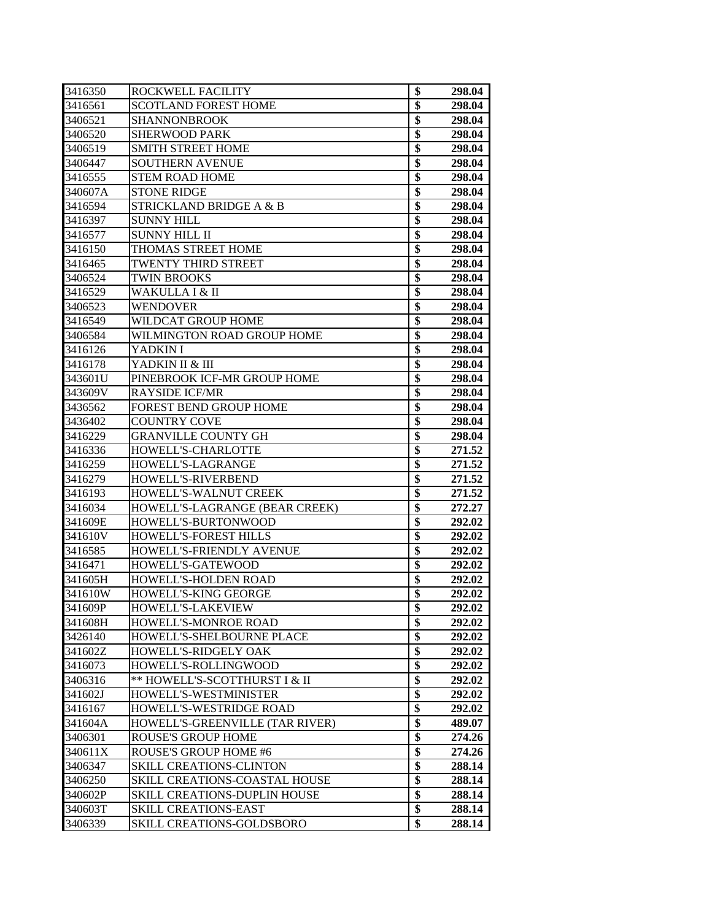| 3416350 | ROCKWELL FACILITY                   | \$              | 298.04 |
|---------|-------------------------------------|-----------------|--------|
| 3416561 | <b>SCOTLAND FOREST HOME</b>         | \$              | 298.04 |
| 3406521 | SHANNONBROOK                        | \$              | 298.04 |
| 3406520 | <b>SHERWOOD PARK</b>                | \$              | 298.04 |
| 3406519 | <b>SMITH STREET HOME</b>            | \$              | 298.04 |
| 3406447 | <b>SOUTHERN AVENUE</b>              | \$              | 298.04 |
| 3416555 | <b>STEM ROAD HOME</b>               | \$              | 298.04 |
| 340607A | <b>STONE RIDGE</b>                  | \$              | 298.04 |
| 3416594 | <b>STRICKLAND BRIDGE A &amp; B</b>  | $\overline{\$}$ | 298.04 |
| 3416397 | SUNNY HILL                          | \$              | 298.04 |
| 3416577 | <b>SUNNY HILL II</b>                | $\overline{\$}$ | 298.04 |
| 3416150 | THOMAS STREET HOME                  | \$              | 298.04 |
| 3416465 | TWENTY THIRD STREET                 | \$              | 298.04 |
| 3406524 | <b>TWIN BROOKS</b>                  | \$              | 298.04 |
| 3416529 | WAKULLA I & II                      | $\overline{\$}$ | 298.04 |
| 3406523 | <b>WENDOVER</b>                     | \$              | 298.04 |
| 3416549 | WILDCAT GROUP HOME                  | $\overline{\$}$ | 298.04 |
| 3406584 | WILMINGTON ROAD GROUP HOME          | \$              | 298.04 |
| 3416126 | YADKIN I                            | \$              | 298.04 |
| 3416178 | YADKIN II & III                     | \$              | 298.04 |
| 343601U | PINEBROOK ICF-MR GROUP HOME         | \$              | 298.04 |
| 343609V | <b>RAYSIDE ICF/MR</b>               | \$              | 298.04 |
| 3436562 | FOREST BEND GROUP HOME              | $\overline{\$}$ | 298.04 |
| 3436402 | <b>COUNTRY COVE</b>                 | \$              | 298.04 |
| 3416229 | <b>GRANVILLE COUNTY GH</b>          | $\overline{\$}$ | 298.04 |
| 3416336 | HOWELL'S-CHARLOTTE                  | \$              | 271.52 |
| 3416259 | HOWELL'S-LAGRANGE                   | $\overline{\$}$ | 271.52 |
| 3416279 | HOWELL'S-RIVERBEND                  | \$              | 271.52 |
| 3416193 | HOWELL'S-WALNUT CREEK               | \$              | 271.52 |
| 3416034 | HOWELL'S-LAGRANGE (BEAR CREEK)      | \$              | 272.27 |
| 341609E | HOWELL'S-BURTONWOOD                 | \$              | 292.02 |
| 341610V | HOWELL'S-FOREST HILLS               | \$              | 292.02 |
| 3416585 | <b>HOWELL'S-FRIENDLY AVENUE</b>     | $\overline{\$}$ | 292.02 |
| 3416471 | HOWELL'S-GATEWOOD                   | $\overline{\$}$ | 292.02 |
| 341605H | HOWELL'S-HOLDEN ROAD                | $\overline{\$}$ | 292.02 |
| 341610W | HOWELL'S-KING GEORGE                | $\overline{\$}$ | 292.02 |
| 341609P | HOWELL'S-LAKEVIEW                   | \$              | 292.02 |
| 341608H | HOWELL'S-MONROE ROAD                | \$              | 292.02 |
| 3426140 | HOWELL'S-SHELBOURNE PLACE           | \$              | 292.02 |
| 341602Z | HOWELL'S-RIDGELY OAK                | \$              | 292.02 |
| 3416073 | HOWELL'S-ROLLINGWOOD                | \$              | 292.02 |
| 3406316 | ** HOWELL'S-SCOTTHURST I & II       | $\overline{\$}$ | 292.02 |
| 341602J | HOWELL'S-WESTMINISTER               | \$              | 292.02 |
| 3416167 | HOWELL'S-WESTRIDGE ROAD             | $\overline{\$}$ | 292.02 |
| 341604A | HOWELL'S-GREENVILLE (TAR RIVER)     | \$              | 489.07 |
| 3406301 | <b>ROUSE'S GROUP HOME</b>           | \$              | 274.26 |
| 340611X | <b>ROUSE'S GROUP HOME #6</b>        | \$              | 274.26 |
| 3406347 | <b>SKILL CREATIONS-CLINTON</b>      | $\overline{\$}$ | 288.14 |
| 3406250 | SKILL CREATIONS-COASTAL HOUSE       | $\overline{\$}$ | 288.14 |
| 340602P | <b>SKILL CREATIONS-DUPLIN HOUSE</b> | $\overline{\$}$ | 288.14 |
| 340603T | <b>SKILL CREATIONS-EAST</b>         | \$              | 288.14 |
| 3406339 | SKILL CREATIONS-GOLDSBORO           | \$              | 288.14 |